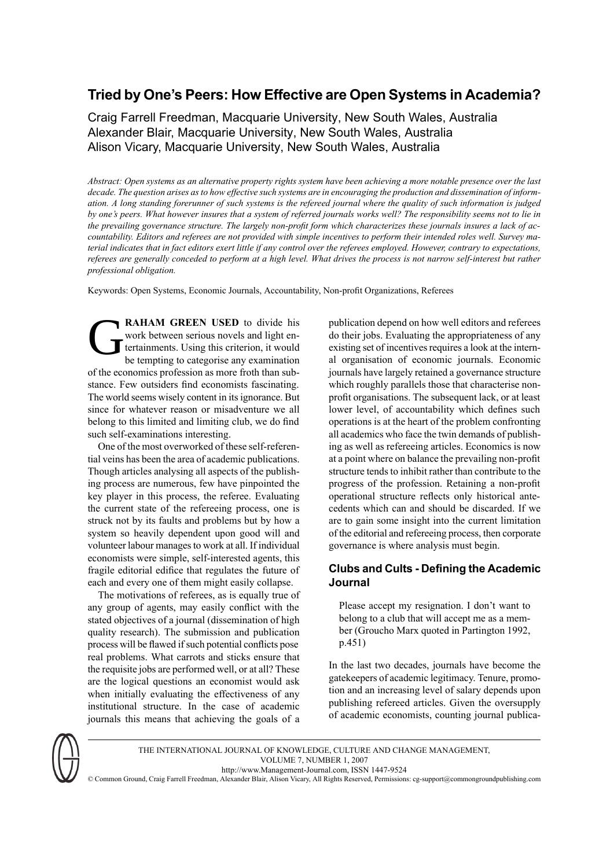# **Tried by One's Peers: How Effective are Open Systems in Academia?**

Craig Farrell Freedman, Macquarie University, New South Wales, Australia Alexander Blair, Macquarie University, New South Wales, Australia Alison Vicary, Macquarie University, New South Wales, Australia

Abstract: Open systems as an alternative property rights system have been achieving a more notable presence over the last decade. The question arises as to how effective such systems are in encouraging the production and dissemination of information. A long standing forerunner of such systems is the refereed journal where the quality of such information is judged by one's peers. What however insures that a system of referred journals works well? The responsibility seems not to lie in the prevailing governance structure. The largely non-profit form which characterizes these journals insures a lack of accountability. Editors and referees are not provided with simple incentives to perform their intended roles well. Survey material indicates that in fact editors exert little if any control over the referees employed. However, contrary to expectations, referees are generally conceded to perform at a high level. What drives the process is not narrow self-interest but rather *professional obligation.*

Keywords: Open Systems, Economic Journals, Accountability, Non-profit Organizations, Referees

G **RAHAM GREEN USED** to divide his work between serious novels and light entertainments. Using this criterion, it would be tempting to categorise any examination of the economics profession as more froth than substance. Few outsiders find economists fascinating. The world seems wisely content in itsignorance. But since for whatever reason or misadventure we all belong to this limited and limiting club, we do find such self-examinations interesting.

One of the most overworked of these self-referential veins has been the area of academic publications. Though articles analysing all aspects of the publishing process are numerous, few have pinpointed the key player in this process, the referee. Evaluating the current state of the refereeing process, one is struck not by its faults and problems but by how a system so heavily dependent upon good will and volunteer labour manages to work at all. If individual economists were simple, self-interested agents, this fragile editorial edifice that regulates the future of each and every one of them might easily collapse.

The motivations of referees, as is equally true of any group of agents, may easily conflict with the stated objectives of a journal (dissemination of high quality research). The submission and publication process will be flawed if such potential conflicts pose real problems. What carrots and sticks ensure that the requisite jobs are performed well, or at all? These are the logical questions an economist would ask when initially evaluating the effectiveness of any institutional structure. In the case of academic journals this means that achieving the goals of a

publication depend on how well editors and referees do their jobs. Evaluating the appropriateness of any existing set of incentives requires a look at the internal organisation of economic journals. Economic journals have largely retained a governance structure which roughly parallels those that characterise nonprofit organisations. The subsequent lack, or at least lower level, of accountability which defines such operations is at the heart of the problem confronting all academics who face the twin demands of publishing as well as refereeing articles. Economics is now at a point where on balance the prevailing non-profit structure tends to inhibit rather than contribute to the progress of the profession. Retaining a non-profit operational structure reflects only historical antecedents which can and should be discarded. If we are to gain some insight into the current limitation of the editorial and refereeing process, then corporate governance is where analysis must begin.

# **Clubs and Cults - Defining the Academic Journal**

Please accept my resignation. I don't want to belong to a club that will accept me as a member (Groucho Marx quoted in Partington 1992, p.451)

In the last two decades, journals have become the gatekeepers of academic legitimacy. Tenure, promotion and an increasing level of salary depends upon publishing refereed articles. Given the oversupply of academic economists, counting journal publica-



THE INTERNATIONAL JOURNAL OF KNOWLEDGE, CULTURE AND CHANGE MANAGEMENT, VOLUME 7, NUMBER 1, 2007 http://www.Management-Journal.com, ISSN 1447-9524

© Common Ground, Craig Farrell Freedman, Alexander Blair, Alison Vicary, All Rights Reserved, Permissions: cg-support@commongroundpublishing.com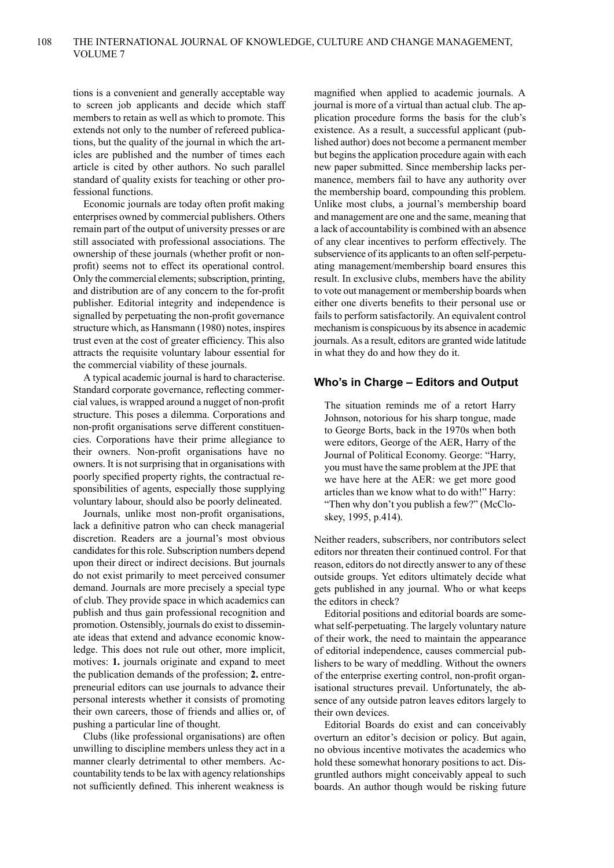tions is a convenient and generally acceptable way to screen job applicants and decide which staff members to retain as well as which to promote. This extends not only to the number of refereed publications, but the quality of the journal in which the articles are published and the number of times each article is cited by other authors. No such parallel standard of quality exists for teaching or other professional functions.

Economic journals are today often profit making enterprises owned by commercial publishers. Others remain part of the output of university presses or are still associated with professional associations. The ownership of these journals (whether profit or nonprofit) seems not to effect its operational control. Only the commercial elements; subscription, printing, and distribution are of any concern to the for-profit publisher. Editorial integrity and independence is signalled by perpetuating the non-profit governance structure which, as Hansmann (1980) notes, inspires trust even at the cost of greater efficiency. This also attracts the requisite voluntary labour essential for the commercial viability of these journals.

A typical academic journal is hard to characterise. Standard corporate governance, reflecting commercial values, is wrapped around a nugget of non-profit structure. This poses a dilemma. Corporations and non-profit organisations serve different constituencies. Corporations have their prime allegiance to their owners. Non-profit organisations have no owners. It is not surprising that in organisations with poorly specified property rights, the contractual responsibilities of agents, especially those supplying voluntary labour, should also be poorly delineated.

Journals, unlike most non-profit organisations, lack a definitive patron who can check managerial discretion. Readers are a journal's most obvious candidates for this role. Subscription numbers depend upon their direct or indirect decisions. But journals do not exist primarily to meet perceived consumer demand. Journals are more precisely a special type of club. They provide space in which academics can publish and thus gain professional recognition and promotion. Ostensibly, journals do exist to disseminate ideas that extend and advance economic knowledge. This does not rule out other, more implicit, motives: **1.** journals originate and expand to meet the publication demands of the profession; **2.** entrepreneurial editors can use journals to advance their personal interests whether it consists of promoting their own careers, those of friends and allies or, of pushing a particular line of thought.

Clubs (like professional organisations) are often unwilling to discipline members unless they act in a manner clearly detrimental to other members. Accountability tends to be lax with agency relationships not sufficiently defined. This inherent weakness is

magnified when applied to academic journals. A journal is more of a virtual than actual club. The application procedure forms the basis for the club's existence. As a result, a successful applicant (published author) does not become a permanent member but begins the application procedure again with each new paper submitted. Since membership lacks permanence, members fail to have any authority over the membership board, compounding this problem. Unlike most clubs, a journal's membership board and management are one and the same, meaning that a lack of accountability is combined with an absence of any clear incentives to perform effectively. The subservience of its applicants to an often self-perpetuating management/membership board ensures this result. In exclusive clubs, members have the ability to vote out management or membership boards when either one diverts benefits to their personal use or fails to perform satisfactorily. An equivalent control mechanism is conspicuous by its absence in academic journals. As a result, editors are granted wide latitude in what they do and how they do it.

### **Who's in Charge – Editors and Output**

The situation reminds me of a retort Harry Johnson, notorious for his sharp tongue, made to George Borts, back in the 1970s when both were editors, George of the AER, Harry of the Journal of Political Economy. George: "Harry, you must have the same problem at the JPE that we have here at the AER: we get more good articles than we know what to do with!" Harry: "Then why don't you publish a few?" (McCloskey, 1995, p.414).

Neither readers, subscribers, nor contributors select editors nor threaten their continued control. For that reason, editors do not directly answer to any of these outside groups. Yet editors ultimately decide what gets published in any journal. Who or what keeps the editors in check?

Editorial positions and editorial boards are somewhat self-perpetuating. The largely voluntary nature of their work, the need to maintain the appearance of editorial independence, causes commercial publishers to be wary of meddling. Without the owners of the enterprise exerting control, non-profit organisational structures prevail. Unfortunately, the absence of any outside patron leaves editors largely to their own devices.

Editorial Boards do exist and can conceivably overturn an editor's decision or policy. But again, no obvious incentive motivates the academics who hold these somewhat honorary positions to act. Disgruntled authors might conceivably appeal to such boards. An author though would be risking future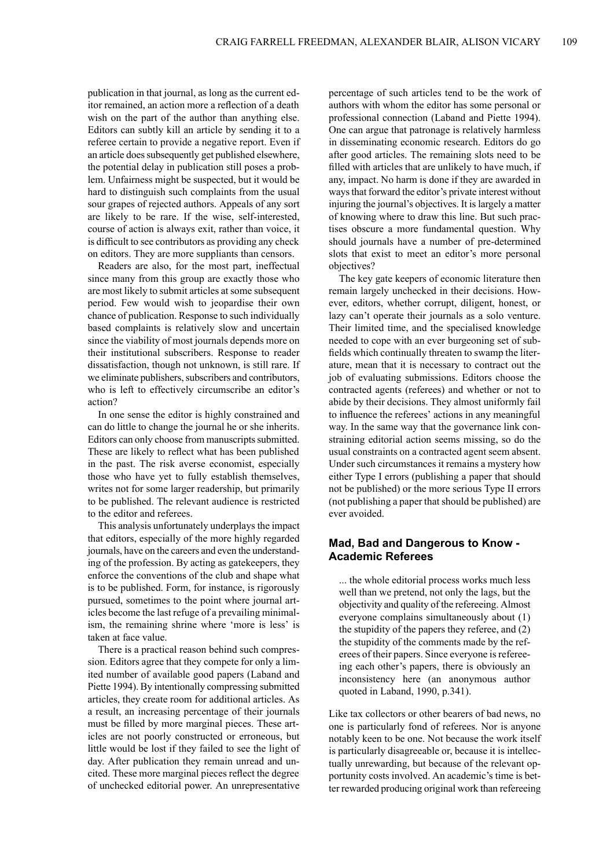publication in that journal, as long as the current editor remained, an action more a reflection of a death wish on the part of the author than anything else. Editors can subtly kill an article by sending it to a referee certain to provide a negative report. Even if an article does subsequently get published elsewhere, the potential delay in publication still poses a problem. Unfairness might be suspected, but it would be hard to distinguish such complaints from the usual sour grapes of rejected authors. Appeals of any sort are likely to be rare. If the wise, self-interested, course of action is always exit, rather than voice, it is difficult to see contributors as providing any check on editors. They are more suppliants than censors.

Readers are also, for the most part, ineffectual since many from this group are exactly those who are most likely to submit articles at some subsequent period. Few would wish to jeopardise their own chance of publication. Response to such individually based complaints is relatively slow and uncertain since the viability of most journals depends more on their institutional subscribers. Response to reader dissatisfaction, though not unknown, is still rare. If we eliminate publishers, subscribers and contributors, who is left to effectively circumscribe an editor's action?

In one sense the editor is highly constrained and can do little to change the journal he or she inherits. Editors can only choose from manuscripts submitted. These are likely to reflect what has been published in the past. The risk averse economist, especially those who have yet to fully establish themselves, writes not for some larger readership, but primarily to be published. The relevant audience is restricted to the editor and referees.

This analysis unfortunately underplays the impact that editors, especially of the more highly regarded journals, have on the careers and even the understanding of the profession. By acting as gatekeepers, they enforce the conventions of the club and shape what is to be published. Form, for instance, is rigorously pursued, sometimes to the point where journal articles become the last refuge of a prevailing minimalism, the remaining shrine where 'more is less' is taken at face value.

There is a practical reason behind such compression. Editors agree that they compete for only a limited number of available good papers (Laband and Piette 1994). By intentionally compressing submitted articles, they create room for additional articles. As a result, an increasing percentage of their journals must be filled by more marginal pieces. These articles are not poorly constructed or erroneous, but little would be lost if they failed to see the light of day. After publication they remain unread and uncited. These more marginal pieces reflect the degree of unchecked editorial power. An unrepresentative

percentage of such articles tend to be the work of authors with whom the editor has some personal or professional connection (Laband and Piette 1994). One can argue that patronage is relatively harmless in disseminating economic research. Editors do go after good articles. The remaining slots need to be filled with articles that are unlikely to have much, if any, impact. No harm is done if they are awarded in waysthat forward the editor's private interest without injuring the journal's objectives. It is largely a matter of knowing where to draw this line. But such practises obscure a more fundamental question. Why should journals have a number of pre-determined slots that exist to meet an editor's more personal objectives?

The key gate keepers of economic literature then remain largely unchecked in their decisions. However, editors, whether corrupt, diligent, honest, or lazy can't operate their journals as a solo venture. Their limited time, and the specialised knowledge needed to cope with an ever burgeoning set of subfields which continually threaten to swamp the literature, mean that it is necessary to contract out the job of evaluating submissions. Editors choose the contracted agents (referees) and whether or not to abide by their decisions. They almost uniformly fail to influence the referees' actions in any meaningful way. In the same way that the governance link constraining editorial action seems missing, so do the usual constraints on a contracted agent seem absent. Under such circumstances it remains a mystery how either Type I errors (publishing a paper that should not be published) or the more serious Type II errors (not publishing a paper that should be published) are ever avoided.

## **Mad, Bad and Dangerous to Know - Academic Referees**

... the whole editorial process works much less well than we pretend, not only the lags, but the objectivity and quality of the refereeing. Almost everyone complains simultaneously about (1) the stupidity of the papers they referee, and (2) the stupidity of the comments made by the referees of their papers. Since everyone is refereeing each other's papers, there is obviously an inconsistency here (an anonymous author quoted in Laband, 1990, p.341).

Like tax collectors or other bearers of bad news, no one is particularly fond of referees. Nor is anyone notably keen to be one. Not because the work itself is particularly disagreeable or, because it is intellectually unrewarding, but because of the relevant opportunity costs involved. An academic's time is better rewarded producing original work than refereeing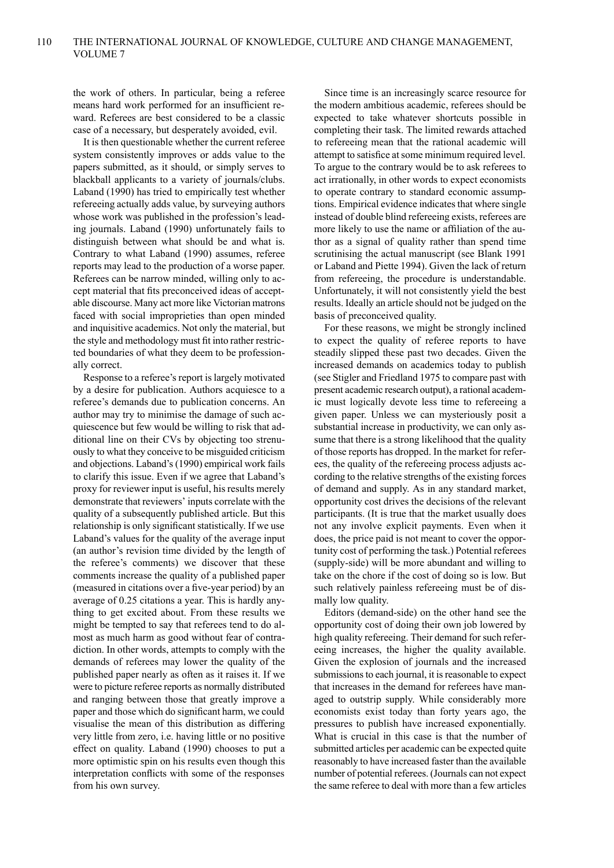the work of others. In particular, being a referee means hard work performed for an insufficient reward. Referees are best considered to be a classic case of a necessary, but desperately avoided, evil.

It is then questionable whether the current referee system consistently improves or adds value to the papers submitted, as it should, or simply serves to blackball applicants to a variety of journals/clubs. Laband (1990) has tried to empirically test whether refereeing actually adds value, by surveying authors whose work was published in the profession's leading journals. Laband (1990) unfortunately fails to distinguish between what should be and what is. Contrary to what Laband (1990) assumes, referee reports may lead to the production of a worse paper. Referees can be narrow minded, willing only to accept material that fits preconceived ideas of acceptable discourse. Many act more like Victorian matrons faced with social improprieties than open minded and inquisitive academics. Not only the material, but the style and methodology must fit into rather restricted boundaries of what they deem to be professionally correct.

Response to a referee's report is largely motivated by a desire for publication. Authors acquiesce to a referee's demands due to publication concerns. An author may try to minimise the damage of such acquiescence but few would be willing to risk that additional line on their CVs by objecting too strenuously to what they conceive to be misguided criticism and objections. Laband's(1990) empirical work fails to clarify this issue. Even if we agree that Laband's proxy for reviewer input is useful, his results merely demonstrate that reviewers' inputs correlate with the quality of a subsequently published article. But this relationship is only significant statistically. If we use Laband's values for the quality of the average input (an author's revision time divided by the length of the referee's comments) we discover that these comments increase the quality of a published paper (measured in citations over afive-year period) by an average of 0.25 citations a year. This is hardly anything to get excited about. From these results we might be tempted to say that referees tend to do almost as much harm as good without fear of contradiction. In other words, attempts to comply with the demands of referees may lower the quality of the published paper nearly as often as it raises it. If we were to picture referee reports as normally distributed and ranging between those that greatly improve a paper and those which do significant harm, we could visualise the mean of this distribution as differing very little from zero, i.e. having little or no positive effect on quality. Laband (1990) chooses to put a more optimistic spin on his results even though this interpretation conflicts with some of the responses from his own survey.

Since time is an increasingly scarce resource for the modern ambitious academic, referees should be expected to take whatever shortcuts possible in completing their task. The limited rewards attached to refereeing mean that the rational academic will attempt to satisfice atsome minimum required level. To argue to the contrary would be to ask referees to act irrationally, in other words to expect economists to operate contrary to standard economic assumptions. Empirical evidence indicates that where single instead of double blind refereeing exists, referees are more likely to use the name or affiliation of the author as a signal of quality rather than spend time scrutinising the actual manuscript (see Blank 1991 or Laband and Piette 1994). Given the lack of return from refereeing, the procedure is understandable. Unfortunately, it will not consistently yield the best results. Ideally an article should not be judged on the basis of preconceived quality.

For these reasons, we might be strongly inclined to expect the quality of referee reports to have steadily slipped these past two decades. Given the increased demands on academics today to publish (see Stigler and Friedland 1975 to compare past with present academic research output), a rational academic must logically devote less time to refereeing a given paper. Unless we can mysteriously posit a substantial increase in productivity, we can only assume that there is a strong likelihood that the quality of those reports has dropped. In the market for referees, the quality of the refereeing process adjusts according to the relative strengths of the existing forces of demand and supply. As in any standard market, opportunity cost drives the decisions of the relevant participants. (It is true that the market usually does not any involve explicit payments. Even when it does, the price paid is not meant to cover the opportunity cost of performing the task.) Potential referees (supply-side) will be more abundant and willing to take on the chore if the cost of doing so is low. But such relatively painless refereeing must be of dismally low quality.

Editors (demand-side) on the other hand see the opportunity cost of doing their own job lowered by high quality refereeing. Their demand for such refereeing increases, the higher the quality available. Given the explosion of journals and the increased submissions to each journal, it is reasonable to expect that increases in the demand for referees have managed to outstrip supply. While considerably more economists exist today than forty years ago, the pressures to publish have increased exponentially. What is crucial in this case is that the number of submitted articles per academic can be expected quite reasonably to have increased faster than the available number of potential referees. (Journals can not expect the same referee to deal with more than a few articles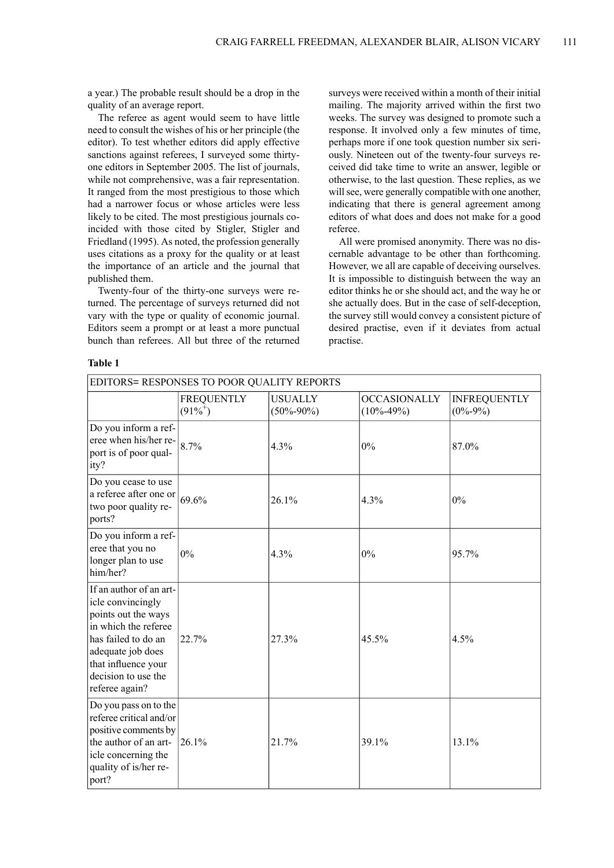a year.) The probable result should be a drop in the quality of an average report.

The referee as agent would seem to have little need to consult the wishes of his or her principle (the editor). To test whether editors did apply effective sanctions against referees, I surveyed some thirtyone editors in September 2005. The list of journals, while not comprehensive, was a fair representation. It ranged from the most prestigious to those which had a narrower focus or whose articles were less likely to be cited. The most prestigious journals coincided with those cited by Stigler, Stigler and Friedland (1995). As noted, the profession generally uses citations as a proxy for the quality or at least the importance of an article and the journal that published them.

Twenty-four of the thirty-one surveys were returned. The percentage of surveys returned did not vary with the type or quality of economic journal. Editors seem a prompt or at least a more punctual bunch than referees. All but three of the returned

surveys were received within a month of their initial mailing. The majority arrived within the first two weeks. The survey was designed to promote such a response. It involved only a few minutes of time, perhaps more if one took question number six seriously. Nineteen out of the twenty-four surveys received did take time to write an answer, legible or otherwise, to the last question. These replies, as we will see, were generally compatible with one another, indicating that there is general agreement among editors of what does and does not make for a good referee.

All were promised anonymity. There was no discernable advantage to be other than forthcoming. However, we all are capable of deceiving ourselves. It is impossible to distinguish between the way an editor thinks he or she should act, and the way he or she actually does. But in the case of self-deception, the survey still would convey a consistent picture of desired practise, even if it deviates from actual practise.

| ш |  |
|---|--|
|---|--|

| <b>EDITORS= RESPONSES TO POOR QUALITY REPORTS</b>                                                                                                                                                       |                                   |                                   |                                        |                                      |  |
|---------------------------------------------------------------------------------------------------------------------------------------------------------------------------------------------------------|-----------------------------------|-----------------------------------|----------------------------------------|--------------------------------------|--|
|                                                                                                                                                                                                         | <b>FREQUENTLY</b><br>$(91\%^{+})$ | <b>USUALLY</b><br>$(50\% - 90\%)$ | <b>OCCASIONALLY</b><br>$(10\% - 49\%)$ | <b>INFREQUENTLY</b><br>$(0\% - 9\%)$ |  |
| Do you inform a ref-<br>eree when his/her re-<br>port is of poor qual-<br>ity?                                                                                                                          | 8.7%                              | 4.3%                              | 0%                                     | 87.0%                                |  |
| Do you cease to use<br>a referee after one or<br>two poor quality re-<br>ports?                                                                                                                         | 69.6%                             | 26.1%                             | 4.3%                                   | 0%                                   |  |
| Do you inform a ref-<br>eree that you no<br>longer plan to use<br>him/her?                                                                                                                              | 0%                                | 4.3%                              | 0%                                     | 95.7%                                |  |
| If an author of an art-<br>icle convincingly<br>points out the ways<br>in which the referee<br>has failed to do an<br>adequate job does<br>that influence your<br>decision to use the<br>referee again? | 22.7%                             | 27.3%                             | $45.5\%$                               | 4.5%                                 |  |
| Do you pass on to the<br>referee critical and/or<br>positive comments by<br>the author of an art-<br>icle concerning the<br>quality of is/her re-<br>port?                                              | 26.1%                             | 21.7%                             | 39.1%                                  | 13.1%                                |  |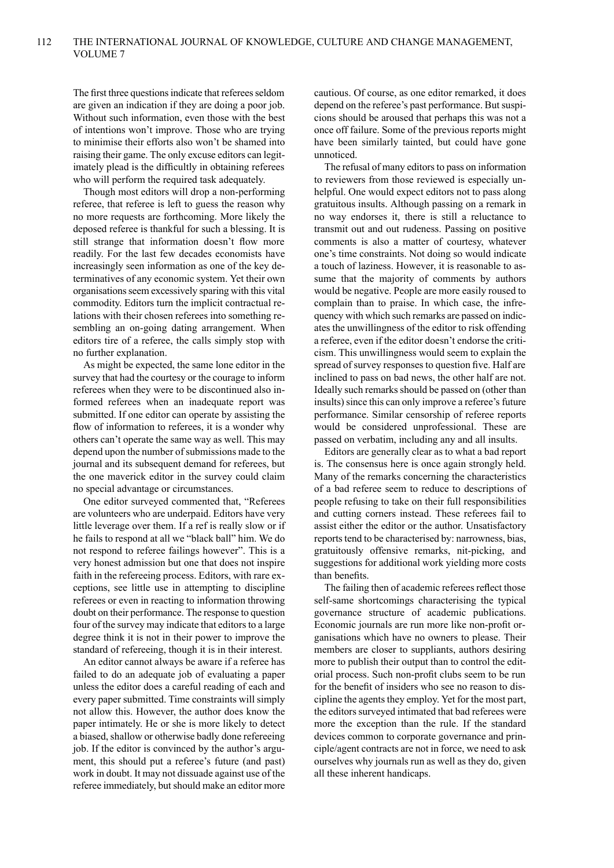The first three questions indicate that referees seldom are given an indication if they are doing a poor job. Without such information, even those with the best of intentions won't improve. Those who are trying to minimise their efforts also won't be shamed into raising their game. The only excuse editors can legitimately plead is the difficultly in obtaining referees who will perform the required task adequately.

Though most editors will drop a non-performing referee, that referee is left to guess the reason why no more requests are forthcoming. More likely the deposed referee is thankful for such a blessing. It is still strange that information doesn't flow more readily. For the last few decades economists have increasingly seen information as one of the key determinatives of any economic system. Yet their own organisations seem excessively sparing with this vital commodity. Editors turn the implicit contractual relations with their chosen referees into something resembling an on-going dating arrangement. When editors tire of a referee, the calls simply stop with no further explanation.

As might be expected, the same lone editor in the survey that had the courtesy or the courage to inform referees when they were to be discontinued also informed referees when an inadequate report was submitted. If one editor can operate by assisting the flow of information to referees, it is a wonder why others can't operate the same way as well. This may depend upon the number of submissions made to the journal and its subsequent demand for referees, but the one maverick editor in the survey could claim no special advantage or circumstances.

One editor surveyed commented that, "Referees are volunteers who are underpaid. Editors have very little leverage over them. If a ref is really slow or if he fails to respond at all we "black ball" him. We do not respond to referee failings however". This is a very honest admission but one that does not inspire faith in the refereeing process. Editors, with rare exceptions, see little use in attempting to discipline referees or even in reacting to information throwing doubt on their performance. The response to question four of the survey may indicate that editors to a large degree think it is not in their power to improve the standard of refereeing, though it is in their interest.

An editor cannot always be aware if a referee has failed to do an adequate job of evaluating a paper unless the editor does a careful reading of each and every paper submitted. Time constraints will simply not allow this. However, the author does know the paper intimately. He or she is more likely to detect a biased, shallow or otherwise badly done refereeing job. If the editor is convinced by the author's argument, this should put a referee's future (and past) work in doubt. It may not dissuade against use of the referee immediately, but should make an editor more

cautious. Of course, as one editor remarked, it does depend on the referee's past performance. But suspicions should be aroused that perhaps this was not a once off failure. Some of the previous reports might have been similarly tainted, but could have gone unnoticed.

The refusal of many editors to pass on information to reviewers from those reviewed is especially unhelpful. One would expect editors not to pass along gratuitous insults. Although passing on a remark in no way endorses it, there is still a reluctance to transmit out and out rudeness. Passing on positive comments is also a matter of courtesy, whatever one's time constraints. Not doing so would indicate a touch of laziness. However, it is reasonable to assume that the majority of comments by authors would be negative. People are more easily roused to complain than to praise. In which case, the infrequency with which such remarks are passed on indicates the unwillingness of the editor to risk offending a referee, even if the editor doesn't endorse the criticism. This unwillingness would seem to explain the spread of survey responses to question five. Half are inclined to pass on bad news, the other half are not. Ideally such remarks should be passed on (other than insults) since this can only improve a referee's future performance. Similar censorship of referee reports would be considered unprofessional. These are passed on verbatim, including any and all insults.

Editors are generally clear as to what a bad report is. The consensus here is once again strongly held. Many of the remarks concerning the characteristics of a bad referee seem to reduce to descriptions of people refusing to take on their full responsibilities and cutting corners instead. These referees fail to assist either the editor or the author. Unsatisfactory reports tend to be characterised by: narrowness, bias, gratuitously offensive remarks, nit-picking, and suggestions for additional work yielding more costs than benefits.

The failing then of academic referees reflect those self-same shortcomings characterising the typical governance structure of academic publications. Economic journals are run more like non-profit organisations which have no owners to please. Their members are closer to suppliants, authors desiring more to publish their output than to control the editorial process. Such non-profit clubs seem to be run for the benefit of insiders who see no reason to discipline the agents they employ. Yet for the most part, the editors surveyed intimated that bad referees were more the exception than the rule. If the standard devices common to corporate governance and principle/agent contracts are not in force, we need to ask ourselves why journals run as well as they do, given all these inherent handicaps.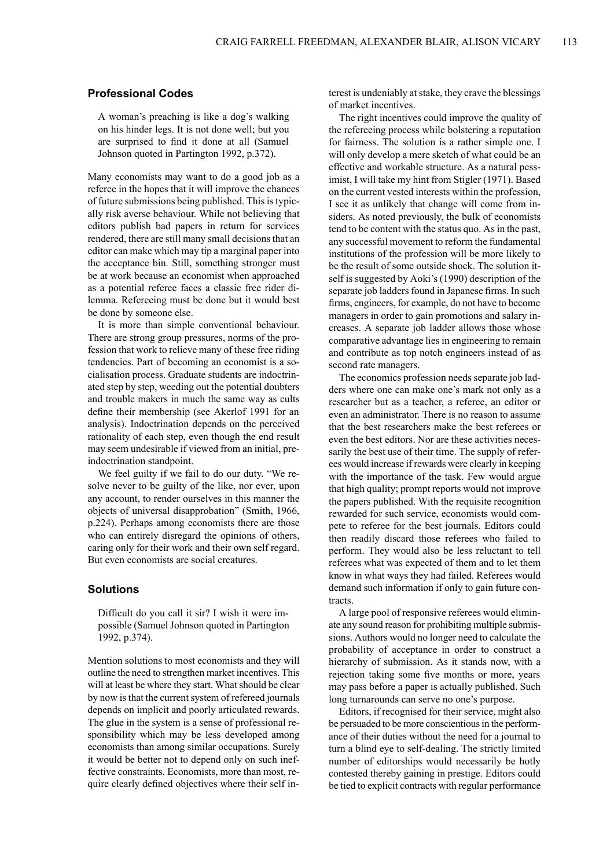#### **Professional Codes**

A woman's preaching is like a dog's walking on his hinder legs. It is not done well; but you are surprised to find it done at all (Samuel Johnson quoted in Partington 1992, p.372).

Many economists may want to do a good job as a referee in the hopes that it will improve the chances of future submissions being published. This is typically risk averse behaviour. While not believing that editors publish bad papers in return for services rendered, there are still many small decisions that an editor can make which may tip a marginal paper into the acceptance bin. Still, something stronger must be at work because an economist when approached as a potential referee faces a classic free rider dilemma. Refereeing must be done but it would best be done by someone else.

It is more than simple conventional behaviour. There are strong group pressures, norms of the profession that work to relieve many of these free riding tendencies. Part of becoming an economist is a socialisation process. Graduate students are indoctrinated step by step, weeding out the potential doubters and trouble makers in much the same way as cults define their membership (see Akerlof 1991 for an analysis). Indoctrination depends on the perceived rationality of each step, even though the end result may seem undesirable if viewed from an initial, preindoctrination standpoint.

We feel guilty if we fail to do our duty. "We resolve never to be guilty of the like, nor ever, upon any account, to render ourselves in this manner the objects of universal disapprobation" (Smith, 1966, p.224). Perhaps among economists there are those who can entirely disregard the opinions of others, caring only for their work and their own self regard. But even economists are social creatures.

#### **Solutions**

Difficult do you call it sir? I wish it were impossible (Samuel Johnson quoted inPartington 1992, p.374).

Mention solutions to most economists and they will outline the need to strengthen market incentives. This will at least be where they start. What should be clear by now is that the current system of refereed journals depends on implicit and poorly articulated rewards. The glue in the system is a sense of professional responsibility which may be less developed among economists than among similar occupations. Surely it would be better not to depend only on such ineffective constraints. Economists, more than most, require clearly defined objectives where their self interest is undeniably atstake, they crave the blessings of market incentives.

The right incentives could improve the quality of the refereeing process while bolstering a reputation for fairness. The solution is a rather simple one. I will only develop a mere sketch of what could be an effective and workable structure. As a natural pessimist, I will take my hint from Stigler (1971). Based on the current vested interests within the profession, I see it as unlikely that change will come from insiders. As noted previously, the bulk of economists tend to be content with the status quo. As in the past, any successful movement to reform the fundamental institutions of the profession will be more likely to be the result of some outside shock. The solution itself is suggested by Aoki's (1990) description of the separate job ladders found in Japanese firms. In such firms, engineers, for example, do not have to become managers in order to gain promotions and salary increases. A separate job ladder allows those whose comparative advantage lies in engineering to remain and contribute as top notch engineers instead of as second rate managers.

The economics profession needs separate job ladders where one can make one's mark not only as a researcher but as a teacher, a referee, an editor or even an administrator. There is no reason to assume that the best researchers make the best referees or even the best editors. Nor are these activities necessarily the best use of their time. The supply of referees would increase if rewards were clearly in keeping with the importance of the task. Few would argue that high quality; prompt reports would not improve the papers published. With the requisite recognition rewarded for such service, economists would compete to referee for the best journals. Editors could then readily discard those referees who failed to perform. They would also be less reluctant to tell referees what was expected of them and to let them know in what ways they had failed. Referees would demand such information if only to gain future contracts.

A large pool of responsive referees would eliminate any sound reason for prohibiting multiple submissions. Authors would no longer need to calculate the probability of acceptance in order to construct a hierarchy of submission. As it stands now, with a rejection taking some five months or more, years may pass before a paper is actually published. Such long turnarounds can serve no one's purpose.

Editors, if recognised for their service, might also be persuaded to be more conscientious in the performance of their duties without the need for a journal to turn a blind eye to self-dealing. The strictly limited number of editorships would necessarily be hotly contested thereby gaining in prestige. Editors could be tied to explicit contracts with regular performance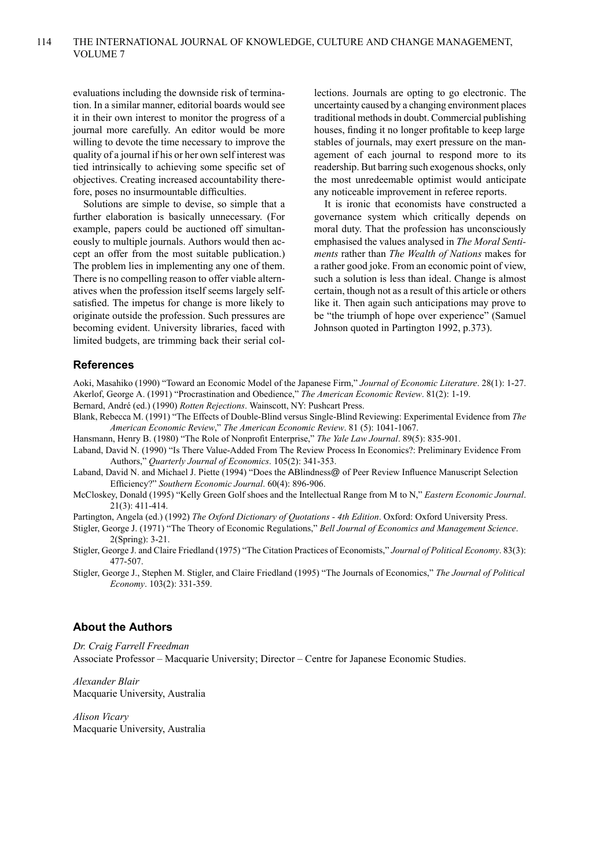evaluations including the downside risk of termination. In a similar manner, editorial boards would see it in their own interest to monitor the progress of a journal more carefully. An editor would be more willing to devote the time necessary to improve the quality of a journal if his or her own self interest was tied intrinsically to achieving some specific set of objectives. Creating increased accountability therefore, poses no insurmountable difficulties.

Solutions are simple to devise, so simple that a further elaboration is basically unnecessary. (For example, papers could be auctioned off simultaneously to multiple journals. Authors would then accept an offer from the most suitable publication.) The problem lies in implementing any one of them. There is no compelling reason to offer viable alternatives when the profession itself seems largely selfsatisfied. The impetus for change is more likely to originate outside the profession. Such pressures are becoming evident. University libraries, faced with limited budgets, are trimming back their serial collections. Journals are opting to go electronic. The uncertainty caused by a changing environment places traditional methods in doubt. Commercial publishing houses, finding it no longer profitable to keep large stables of journals, may exert pressure on the management of each journal to respond more to its readership. But barring such exogenous shocks, only the most unredeemable optimist would anticipate any noticeable improvement in referee reports.

It is ironic that economists have constructed a governance system which critically depends on moral duty. That the profession has unconsciously emphasised the values analysed in *The Moral Sentiments* rather than *The Wealth of Nations* makes for a rather good joke.From an economic point of view, such a solution is less than ideal. Change is almost certain, though not as a result of this article or others like it. Then again such anticipations may prove to be "the triumph of hope over experience" (Samuel Johnson quoted in Partington 1992, p.373).

# **References**

- Aoki, Masahiko (1990) "Toward an Economic Model of the Japanese Firm," *Journal of Economic Literature*. 28(1): 1-27. Akerlof, George A. (1991) "Procrastination and Obedience," *The American Economic Review*. 81(2): 1-19.
- Bernard, André (ed.) (1990) *Rotten Rejections*. Wainscott, NY: Pushcart Press.
- Blank, Rebecca M. (1991) "The Effects of Double-Blind versus Single-Blind Reviewing: Experimental Evidence from *The American Economic Review*," *The American Economic Review*. 81 (5): 1041-1067.
- Hansmann, Henry B. (1980) "The Role of Nonprofit Enterprise," *The Yale Law Journal*. 89(5): 835-901.
- Laband, David N. (1990) "Is There Value-Added From The Review Process In Economics?: Preliminary Evidence From Authors," *Quarterly Journal of Economics*. 105(2): 341-353.
- Laband, David N. and Michael J. Piette (1994) "Does the ABlindness@ of Peer Review Influence Manuscript Selection Efficiency?" *Southern Economic Journal*. 60(4): 896-906.
- McCloskey, Donald (1995) "Kelly Green Golf shoes and the Intellectual Range from M to N," *Eastern Economic Journal*. 21(3): 411-414.

Partington, Angela (ed.) (1992) *The Oxford Dictionary of Quotations - 4th Edition*. Oxford: Oxford University Press.

- Stigler, George J. (1971) "The Theory of Economic Regulations," *Bell Journal of Economics and Management Science*. 2(Spring): 3-21.
- Stigler, George J. and Claire Friedland (1975) "The Citation Practices of Economists," *Journal of Political Economy*. 83(3): 477-507.

Stigler, George J., Stephen M. Stigler, and Claire Friedland (1995) "The Journals of Economics," *The Journal of Political Economy*. 103(2): 331-359.

# **About the Authors**

*Dr. Craig Farrell Freedman* Associate Professor – Macquarie University; Director – Centre for Japanese Economic Studies.

*Alexander Blair* Macquarie University, Australia

*Alison Vicary* Macquarie University, Australia